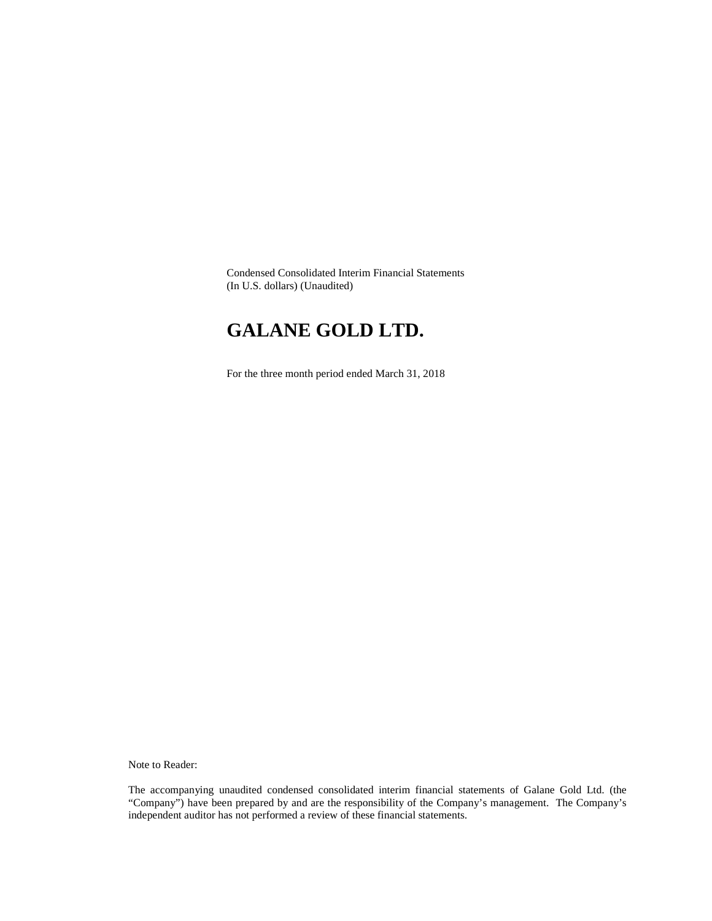Condensed Consolidated Interim Financial Statements (In U.S. dollars) (Unaudited)

# **GALANE GOLD LTD.**

For the three month period ended March 31, 2018

Note to Reader:

The accompanying unaudited condensed consolidated interim financial statements of Galane Gold Ltd. (the "Company") have been prepared by and are the responsibility of the Company's management. The Company's independent auditor has not performed a review of these financial statements.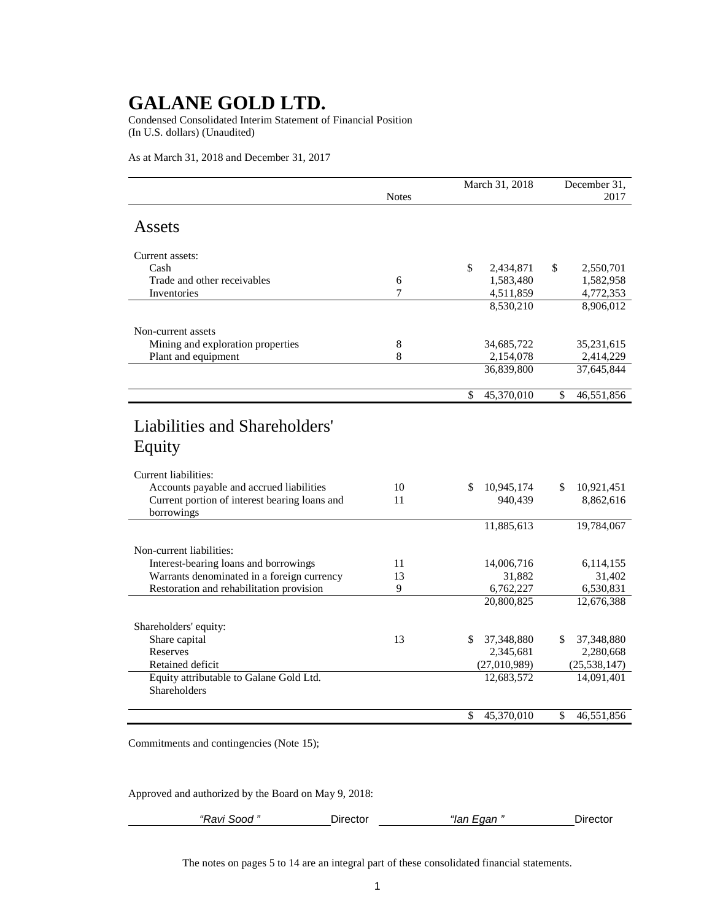Condensed Consolidated Interim Statement of Financial Position (In U.S. dollars) (Unaudited)

As at March 31, 2018 and December 31, 2017

|                                               |              | March 31, 2018                         | December 31,     |  |  |
|-----------------------------------------------|--------------|----------------------------------------|------------------|--|--|
|                                               | <b>Notes</b> |                                        | 2017             |  |  |
| Assets                                        |              |                                        |                  |  |  |
| Current assets:                               |              |                                        |                  |  |  |
| Cash                                          |              | \$<br>2,434,871                        | \$<br>2,550,701  |  |  |
| Trade and other receivables                   | 6            | 1,583,480                              | 1,582,958        |  |  |
| Inventories                                   | 7            | 4,511,859                              | 4,772,353        |  |  |
|                                               |              | 8,530,210                              | 8,906,012        |  |  |
| Non-current assets                            |              |                                        |                  |  |  |
| Mining and exploration properties             | 8            | 34,685,722                             | 35,231,615       |  |  |
| Plant and equipment                           | 8            | 2,154,078                              | 2,414,229        |  |  |
|                                               |              | 36,839,800                             | 37,645,844       |  |  |
|                                               |              | $\overline{\mathcal{S}}$<br>45,370,010 | \$<br>46,551,856 |  |  |
|                                               |              |                                        |                  |  |  |
| Liabilities and Shareholders'                 |              |                                        |                  |  |  |
|                                               |              |                                        |                  |  |  |
| Equity                                        |              |                                        |                  |  |  |
| Current liabilities:                          |              |                                        |                  |  |  |
| Accounts payable and accrued liabilities      | 10           | \$<br>10,945,174                       | \$<br>10,921,451 |  |  |
| Current portion of interest bearing loans and | 11           | 940,439                                | 8,862,616        |  |  |
| borrowings                                    |              |                                        |                  |  |  |
|                                               |              | 11,885,613                             | 19,784,067       |  |  |
| Non-current liabilities:                      |              |                                        |                  |  |  |
| Interest-bearing loans and borrowings         | 11           | 14,006,716                             | 6,114,155        |  |  |
| Warrants denominated in a foreign currency    | 13           | 31,882                                 | 31,402           |  |  |
| Restoration and rehabilitation provision      | 9            | 6,762,227                              | 6,530,831        |  |  |
|                                               |              | 20,800,825                             | 12,676,388       |  |  |
| Shareholders' equity:                         |              |                                        |                  |  |  |
| Share capital                                 | 13           | \$<br>37,348,880                       | \$<br>37,348,880 |  |  |
| Reserves                                      |              | 2,345,681                              | 2,280,668        |  |  |
| Retained deficit                              |              | (27,010,989)                           | (25, 538, 147)   |  |  |
| Equity attributable to Galane Gold Ltd.       |              | 12,683,572                             | 14,091,401       |  |  |
| <b>Shareholders</b>                           |              |                                        |                  |  |  |
|                                               |              | 45,370,010<br>\$                       | \$<br>46,551,856 |  |  |

Commitments and contingencies (Note 15);

Approved and authorized by the Board on May 9, 2018:

| sood<br>'Ravi . | שונCurector | "<br>aan<br>$\cdots$ | ector |
|-----------------|-------------|----------------------|-------|
|                 |             |                      |       |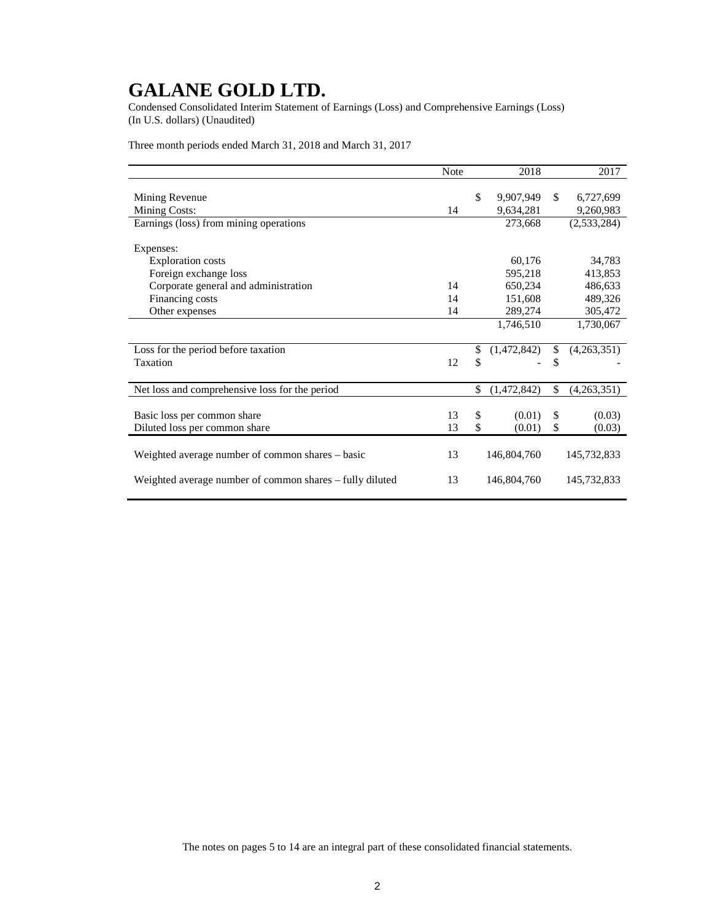Condensed Consolidated Interim Statement of Earnings (Loss) and Comprehensive Earnings (Loss) (In U.S. dollars) (Unaudited)

Three month periods ended March 31, 2018 and March 31, 2017

|                                                          | <b>Note</b> |               | 2018        |              | 2017        |
|----------------------------------------------------------|-------------|---------------|-------------|--------------|-------------|
|                                                          |             |               |             |              |             |
| Mining Revenue                                           |             | \$            | 9,907,949   | \$           | 6,727,699   |
| <b>Mining Costs:</b>                                     | 14          |               | 9,634,281   |              | 9,260,983   |
| Earnings (loss) from mining operations                   |             |               | 273,668     |              | (2,533,284) |
|                                                          |             |               |             |              |             |
| Expenses:                                                |             |               |             |              |             |
| Exploration costs                                        |             |               | 60,176      |              | 34,783      |
| Foreign exchange loss                                    |             |               | 595,218     |              | 413,853     |
| Corporate general and administration                     | 14          |               | 650,234     |              | 486,633     |
| Financing costs                                          | 14          |               | 151,608     |              | 489,326     |
| Other expenses                                           | 14          |               | 289,274     |              | 305,472     |
|                                                          |             |               | 1,746,510   |              | 1,730,067   |
|                                                          |             |               |             |              |             |
| Loss for the period before taxation                      |             | \$            | (1,472,842) | $\mathbb{S}$ | (4,263,351) |
| Taxation                                                 | 12          | \$            |             | \$           |             |
|                                                          |             |               |             |              |             |
| Net loss and comprehensive loss for the period           |             | \$            | (1,472,842) | \$           | (4,263,351) |
|                                                          |             |               |             |              |             |
| Basic loss per common share                              | 13          | $\mathcal{S}$ | (0.01)      | \$           | (0.03)      |
| Diluted loss per common share                            | 13          | \$            | (0.01)      | \$           | (0.03)      |
|                                                          |             |               |             |              |             |
| Weighted average number of common shares - basic         | 13          |               | 146,804,760 |              | 145,732,833 |
|                                                          |             |               |             |              |             |
| Weighted average number of common shares – fully diluted | 13          |               | 146,804,760 |              | 145,732,833 |
|                                                          |             |               |             |              |             |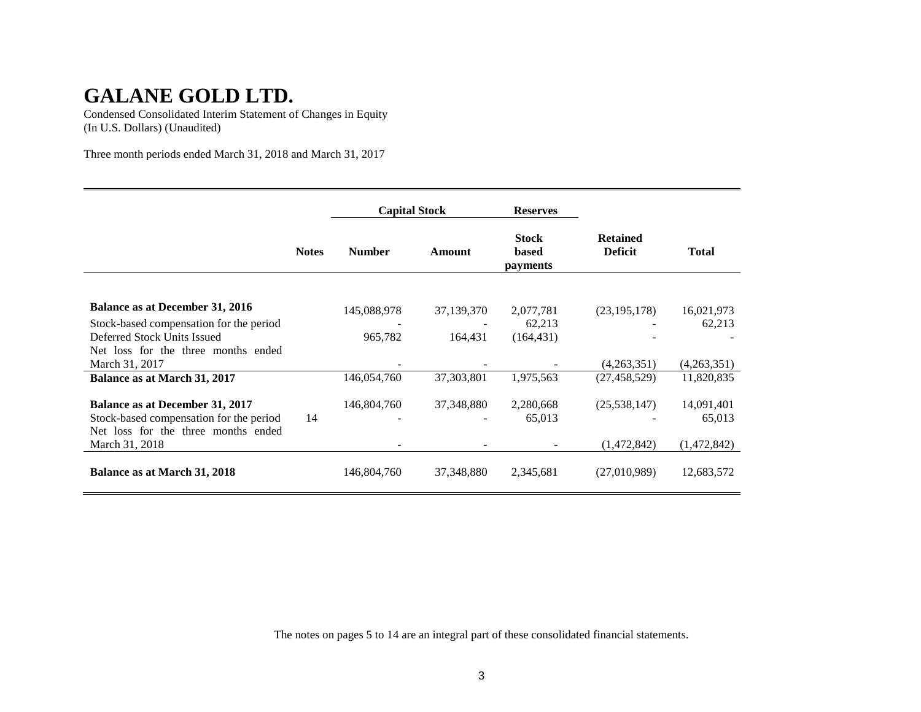Condensed Consolidated Interim Statement of Changes in Equity (In U.S. Dollars) (Unaudited)

Three month periods ended March 31, 2018 and March 31, 2017

|                                         |              | <b>Capital Stock</b> |              | <b>Reserves</b>                                 |                                   |              |
|-----------------------------------------|--------------|----------------------|--------------|-------------------------------------------------|-----------------------------------|--------------|
|                                         | <b>Notes</b> | <b>Number</b>        | Amount       | <b>Stock</b><br><b>based</b><br><i>payments</i> | <b>Retained</b><br><b>Deficit</b> | <b>Total</b> |
|                                         |              |                      |              |                                                 |                                   |              |
| <b>Balance as at December 31, 2016</b>  |              | 145,088,978          | 37,139,370   | 2,077,781                                       | (23, 195, 178)                    | 16,021,973   |
| Stock-based compensation for the period |              |                      |              | 62,213                                          |                                   | 62,213       |
| Deferred Stock Units Issued             |              | 965,782              | 164,431      | (164, 431)                                      |                                   |              |
| Net loss for the three months ended     |              |                      |              |                                                 |                                   |              |
| March 31, 2017                          |              |                      |              |                                                 | (4,263,351)                       | (4,263,351)  |
| Balance as at March 31, 2017            |              | 146,054,760          | 37, 303, 801 | 1,975,563                                       | (27, 458, 529)                    | 11,820,835   |
| <b>Balance as at December 31, 2017</b>  |              | 146,804,760          | 37,348,880   | 2,280,668                                       | (25,538,147)                      | 14,091,401   |
| Stock-based compensation for the period | 14           |                      |              | 65,013                                          |                                   | 65,013       |
| Net loss for the three months ended     |              |                      |              |                                                 |                                   |              |
| March 31, 2018                          |              |                      |              |                                                 | (1,472,842)                       | (1,472,842)  |
|                                         |              |                      |              |                                                 |                                   |              |
| Balance as at March 31, 2018            |              | 146,804,760          | 37, 348, 880 | 2,345,681                                       | (27,010,989)                      | 12,683,572   |
|                                         |              |                      |              |                                                 |                                   |              |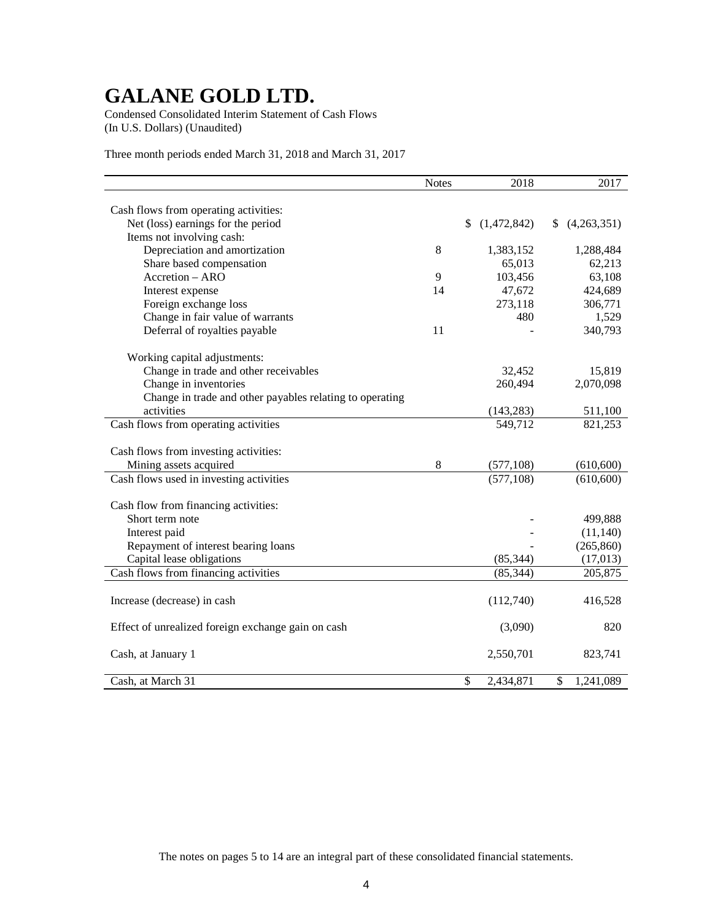Condensed Consolidated Interim Statement of Cash Flows (In U.S. Dollars) (Unaudited)

Three month periods ended March 31, 2018 and March 31, 2017

|                                                          | <b>Notes</b> | 2018              | 2017             |
|----------------------------------------------------------|--------------|-------------------|------------------|
|                                                          |              |                   |                  |
| Cash flows from operating activities:                    |              |                   |                  |
| Net (loss) earnings for the period                       |              | \$<br>(1,472,842) | (4,263,351)<br>S |
| Items not involving cash:                                |              |                   |                  |
| Depreciation and amortization                            | 8            | 1,383,152         | 1,288,484        |
| Share based compensation                                 |              | 65,013            | 62,213           |
| Accretion - ARO                                          | 9            | 103,456           | 63,108           |
| Interest expense                                         | 14           | 47,672            | 424,689          |
| Foreign exchange loss                                    |              | 273,118           | 306,771          |
| Change in fair value of warrants                         |              | 480               | 1,529            |
| Deferral of royalties payable                            | 11           |                   | 340,793          |
| Working capital adjustments:                             |              |                   |                  |
| Change in trade and other receivables                    |              | 32,452            | 15,819           |
| Change in inventories                                    |              | 260,494           | 2,070,098        |
| Change in trade and other payables relating to operating |              |                   |                  |
| activities                                               |              | (143, 283)        | 511,100          |
| Cash flows from operating activities                     |              | 549,712           | 821,253          |
|                                                          |              |                   |                  |
| Cash flows from investing activities:                    |              |                   |                  |
| Mining assets acquired                                   | 8            | (577, 108)        | (610, 600)       |
| Cash flows used in investing activities                  |              | (577, 108)        | (610, 600)       |
|                                                          |              |                   |                  |
| Cash flow from financing activities:                     |              |                   |                  |
| Short term note                                          |              |                   | 499,888          |
| Interest paid                                            |              |                   | (11, 140)        |
| Repayment of interest bearing loans                      |              |                   | (265, 860)       |
| Capital lease obligations                                |              | (85, 344)         | (17, 013)        |
| Cash flows from financing activities                     |              | (85, 344)         | 205,875          |
|                                                          |              |                   |                  |
| Increase (decrease) in cash                              |              | (112,740)         | 416,528          |
|                                                          |              |                   |                  |
| Effect of unrealized foreign exchange gain on cash       |              | (3,090)           | 820              |
|                                                          |              |                   |                  |
| Cash, at January 1                                       |              | 2,550,701         | 823,741          |
|                                                          |              |                   |                  |
| Cash, at March 31                                        |              | \$<br>2,434,871   | \$<br>1,241,089  |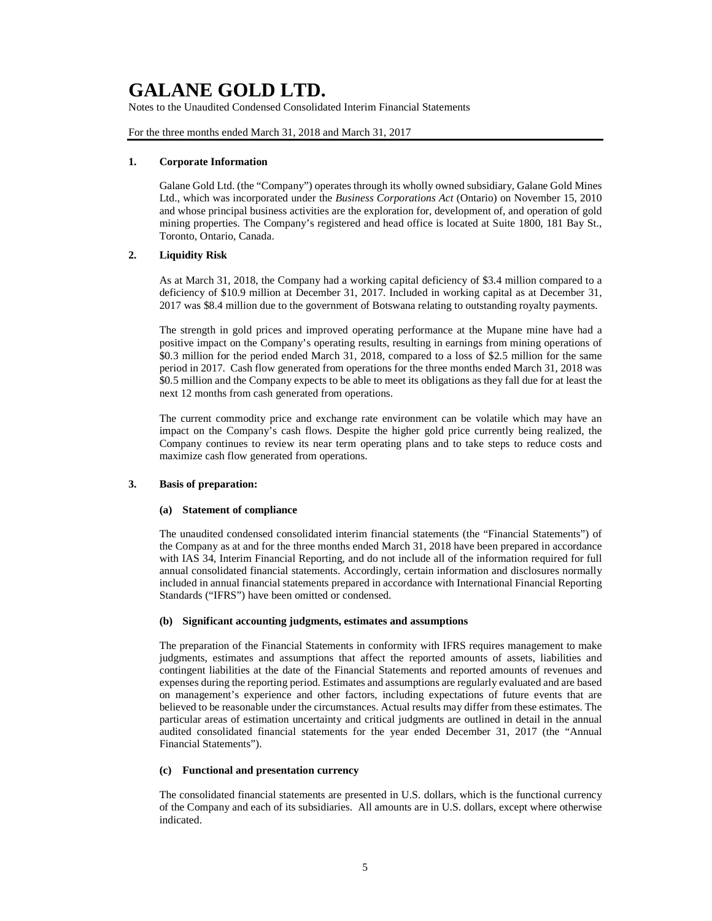Notes to the Unaudited Condensed Consolidated Interim Financial Statements

For the three months ended March 31, 2018 and March 31, 2017

#### **1. Corporate Information**

Galane Gold Ltd. (the "Company") operates through its wholly owned subsidiary, Galane Gold Mines Ltd., which was incorporated under the *Business Corporations Act* (Ontario) on November 15, 2010 and whose principal business activities are the exploration for, development of, and operation of gold mining properties. The Company's registered and head office is located at Suite 1800, 181 Bay St., Toronto, Ontario, Canada.

### **2. Liquidity Risk**

As at March 31, 2018, the Company had a working capital deficiency of \$3.4 million compared to a deficiency of \$10.9 million at December 31, 2017. Included in working capital as at December 31, 2017 was \$8.4 million due to the government of Botswana relating to outstanding royalty payments.

The strength in gold prices and improved operating performance at the Mupane mine have had a positive impact on the Company's operating results, resulting in earnings from mining operations of \$0.3 million for the period ended March 31, 2018, compared to a loss of \$2.5 million for the same period in 2017. Cash flow generated from operations for the three months ended March 31, 2018 was \$0.5 million and the Company expects to be able to meet its obligations as they fall due for at least the next 12 months from cash generated from operations.

The current commodity price and exchange rate environment can be volatile which may have an impact on the Company's cash flows. Despite the higher gold price currently being realized, the Company continues to review its near term operating plans and to take steps to reduce costs and maximize cash flow generated from operations.

#### **3. Basis of preparation:**

#### **(a) Statement of compliance**

The unaudited condensed consolidated interim financial statements (the "Financial Statements") of the Company as at and for the three months ended March 31, 2018 have been prepared in accordance with IAS 34, Interim Financial Reporting, and do not include all of the information required for full annual consolidated financial statements. Accordingly, certain information and disclosures normally included in annual financial statements prepared in accordance with International Financial Reporting Standards ("IFRS") have been omitted or condensed.

#### **(b) Significant accounting judgments, estimates and assumptions**

The preparation of the Financial Statements in conformity with IFRS requires management to make judgments, estimates and assumptions that affect the reported amounts of assets, liabilities and contingent liabilities at the date of the Financial Statements and reported amounts of revenues and expenses during the reporting period. Estimates and assumptions are regularly evaluated and are based on management's experience and other factors, including expectations of future events that are believed to be reasonable under the circumstances. Actual results may differ from these estimates. The particular areas of estimation uncertainty and critical judgments are outlined in detail in the annual audited consolidated financial statements for the year ended December 31, 2017 (the "Annual Financial Statements").

#### **(c) Functional and presentation currency**

The consolidated financial statements are presented in U.S. dollars, which is the functional currency of the Company and each of its subsidiaries. All amounts are in U.S. dollars, except where otherwise indicated.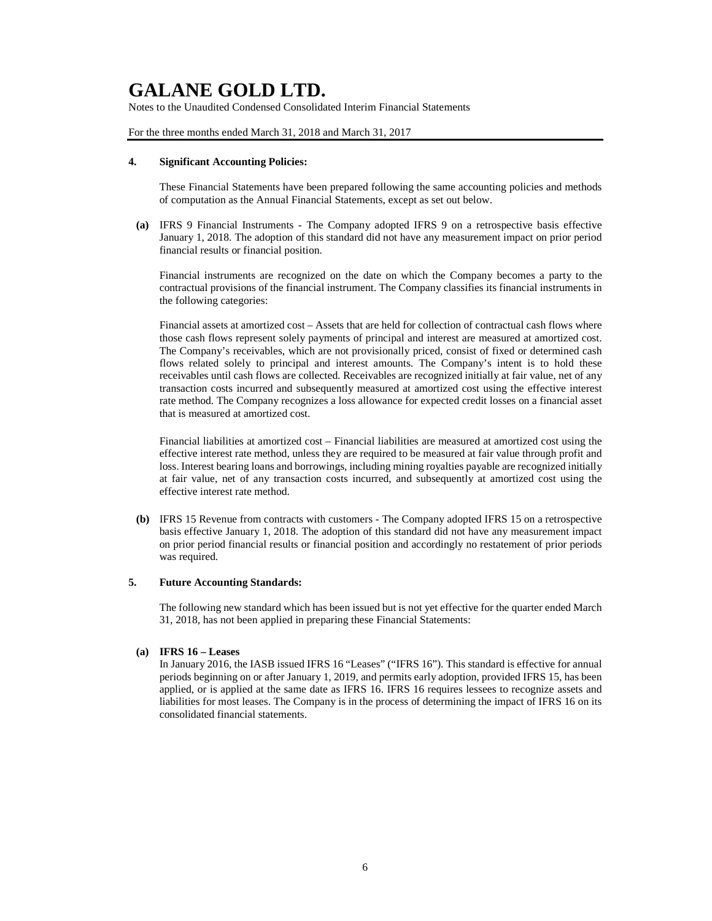Notes to the Unaudited Condensed Consolidated Interim Financial Statements

For the three months ended March 31, 2018 and March 31, 2017

#### **4. Significant Accounting Policies:**

These Financial Statements have been prepared following the same accounting policies and methods of computation as the Annual Financial Statements, except as set out below.

**(a)** IFRS 9 Financial Instruments - The Company adopted IFRS 9 on a retrospective basis effective January 1, 2018. The adoption of this standard did not have any measurement impact on prior period financial results or financial position.

Financial instruments are recognized on the date on which the Company becomes a party to the contractual provisions of the financial instrument. The Company classifies its financial instruments in the following categories:

Financial assets at amortized cost – Assets that are held for collection of contractual cash flows where those cash flows represent solely payments of principal and interest are measured at amortized cost. The Company's receivables, which are not provisionally priced, consist of fixed or determined cash flows related solely to principal and interest amounts. The Company's intent is to hold these receivables until cash flows are collected. Receivables are recognized initially at fair value, net of any transaction costs incurred and subsequently measured at amortized cost using the effective interest rate method. The Company recognizes a loss allowance for expected credit losses on a financial asset that is measured at amortized cost.

Financial liabilities at amortized cost *–* Financial liabilities are measured at amortized cost using the effective interest rate method, unless they are required to be measured at fair value through profit and loss. Interest bearing loans and borrowings, including mining royalties payable are recognized initially at fair value, net of any transaction costs incurred, and subsequently at amortized cost using the effective interest rate method.

**(b)** IFRS 15 Revenue from contracts with customers - The Company adopted IFRS 15 on a retrospective basis effective January 1, 2018. The adoption of this standard did not have any measurement impact on prior period financial results or financial position and accordingly no restatement of prior periods was required.

### **5. Future Accounting Standards:**

The following new standard which has been issued but is not yet effective for the quarter ended March 31, 2018, has not been applied in preparing these Financial Statements:

### **(a) IFRS 16 – Leases**

In January 2016, the IASB issued IFRS 16 "Leases" ("IFRS 16"). This standard is effective for annual periods beginning on or after January 1, 2019, and permits early adoption, provided IFRS 15, has been applied, or is applied at the same date as IFRS 16. IFRS 16 requires lessees to recognize assets and liabilities for most leases. The Company is in the process of determining the impact of IFRS 16 on its consolidated financial statements.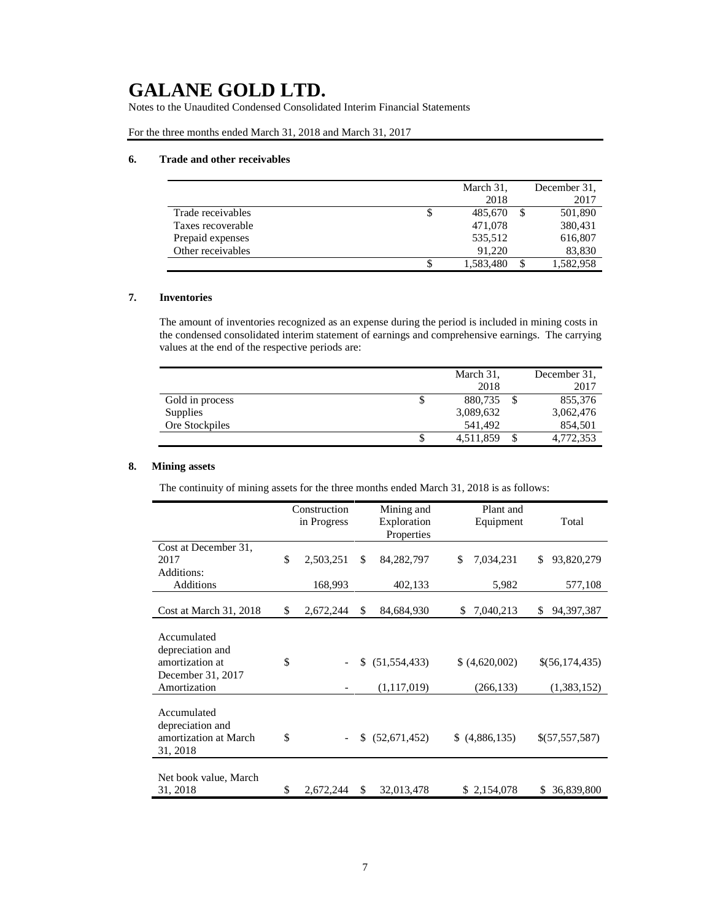Notes to the Unaudited Condensed Consolidated Interim Financial Statements

For the three months ended March 31, 2018 and March 31, 2017

### **6. Trade and other receivables**

|                   |   | March 31, | December 31. |
|-------------------|---|-----------|--------------|
|                   |   | 2018      | 2017         |
| Trade receivables | Φ | 485,670   | 501,890      |
| Taxes recoverable |   | 471.078   | 380,431      |
| Prepaid expenses  |   | 535,512   | 616,807      |
| Other receivables |   | 91.220    | 83,830       |
|                   |   | 1,583,480 | 1,582,958    |

# **7. Inventories**

The amount of inventories recognized as an expense during the period is included in mining costs in the condensed consolidated interim statement of earnings and comprehensive earnings. The carrying values at the end of the respective periods are:

|                 |   | March 31, |   | December 31. |
|-----------------|---|-----------|---|--------------|
|                 |   | 2018      |   | 2017         |
| Gold in process | Φ | 880,735   |   | 855,376      |
| Supplies        |   | 3,089,632 |   | 3,062,476    |
| Ore Stockpiles  |   | 541.492   |   | 854,501      |
|                 | S | 4,511,859 | S | 4,772,353    |

# **8. Mining assets**

The continuity of mining assets for the three months ended March 31, 2018 is as follows:

|                                                                                         | Construction<br>in Progress | Mining and<br>Exploration<br>Properties |                               | Plant and<br>Equipment    | Total                         |
|-----------------------------------------------------------------------------------------|-----------------------------|-----------------------------------------|-------------------------------|---------------------------|-------------------------------|
| Cost at December 31,<br>2017<br>Additions:                                              | \$<br>2,503,251             | \$                                      | 84, 282, 797                  | \$<br>7,034,231           | \$<br>93,820,279              |
| <b>Additions</b>                                                                        | 168,993                     |                                         | 402,133                       | 5,982                     | 577,108                       |
| Cost at March 31, 2018                                                                  | \$<br>2,672,244             | \$                                      | 84,684,930                    | 7,040,213<br>\$           | \$<br>94,397,387              |
| Accumulated<br>depreciation and<br>amortization at<br>December 31, 2017<br>Amortization | \$                          | \$                                      | (51, 554, 433)<br>(1,117,019) | (4,620,002)<br>(266, 133) | \$(56,174,435)<br>(1,383,152) |
| Accumulated<br>depreciation and<br>amortization at March<br>31, 2018                    | \$                          | S.                                      | (52,671,452)                  | (4,886,135)<br>S.         | \$(57,557,587)                |
| Net book value, March<br>31, 2018                                                       | \$<br>2,672,244             | \$                                      | 32,013,478                    | \$2,154,078               | 36,839,800<br>\$              |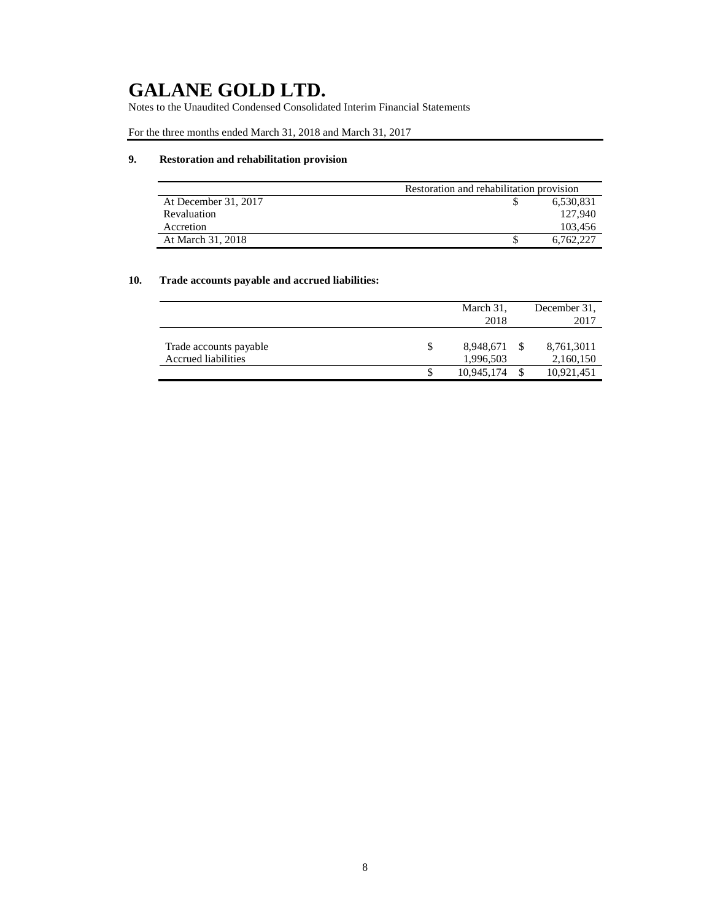Notes to the Unaudited Condensed Consolidated Interim Financial Statements

For the three months ended March 31, 2018 and March 31, 2017

# **9. Restoration and rehabilitation provision**

|                      | Restoration and rehabilitation provision |           |
|----------------------|------------------------------------------|-----------|
| At December 31, 2017 |                                          | 6,530,831 |
| Revaluation          |                                          | 127.940   |
| Accretion            |                                          | 103.456   |
| At March 31, 2018    |                                          | 6.762.227 |

# **10. Trade accounts payable and accrued liabilities:**

|                        |     | March 31,  | December 31. |
|------------------------|-----|------------|--------------|
|                        |     | 2018       | 2017         |
|                        |     |            |              |
| Trade accounts payable | \$. | 8,948,671  | 8,761,3011   |
| Accrued liabilities    |     | 1,996,503  | 2,160,150    |
|                        |     | 10.945.174 | 10,921,451   |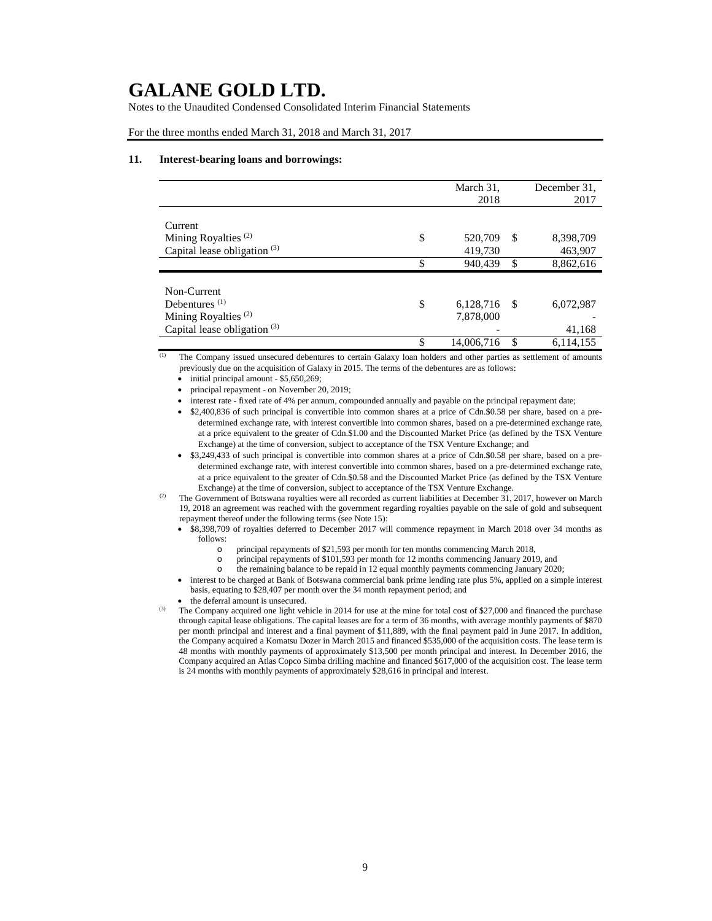Notes to the Unaudited Condensed Consolidated Interim Financial Statements

For the three months ended March 31, 2018 and March 31, 2017

#### **11. Interest-bearing loans and borrowings:**

|                                 | March 31,<br>2018 |      | December 31.<br>2017 |
|---------------------------------|-------------------|------|----------------------|
| Current                         |                   |      |                      |
| Mining Royalties <sup>(2)</sup> | \$<br>520,709     | S    | 8,398,709            |
| Capital lease obligation $(3)$  | 419,730           |      | 463,907              |
|                                 | \$<br>940,439     | \$   | 8,862,616            |
| Non-Current                     |                   |      |                      |
| Debentures $(1)$                | \$<br>6,128,716   | - \$ | 6,072,987            |
| Mining Royalties $(2)$          | 7,878,000         |      |                      |
| Capital lease obligation $(3)$  |                   |      | 41,168               |
|                                 | \$<br>14,006,716  | \$   | 6,114,155            |

 $\overline{1}$  The Company issued unsecured debentures to certain Galaxy loan holders and other parties as settlement of amounts previously due on the acquisition of Galaxy in 2015. The terms of the debentures are as follows:

 $\bullet$  initial principal amount - \$5,650,269;

• principal repayment - on November 20, 2019;

• interest rate - fixed rate of 4% per annum, compounded annually and payable on the principal repayment date;

• \$2,400,836 of such principal is convertible into common shares at a price of Cdn.\$0.58 per share, based on a predetermined exchange rate, with interest convertible into common shares, based on a pre-determined exchange rate, at a price equivalent to the greater of Cdn.\$1.00 and the Discounted Market Price (as defined by the TSX Venture Exchange) at the time of conversion, subject to acceptance of the TSX Venture Exchange; and

• \$3,249,433 of such principal is convertible into common shares at a price of Cdn.\$0.58 per share, based on a predetermined exchange rate, with interest convertible into common shares, based on a pre-determined exchange rate, at a price equivalent to the greater of Cdn.\$0.58 and the Discounted Market Price (as defined by the TSX Venture Exchange) at the time of conversion, subject to acceptance of the TSX Venture Exchange.

<sup>(2)</sup> The Government of Botswana royalties were all recorded as current liabilities at December 31, 2017, however on March 19, 2018 an agreement was reached with the government regarding royalties payable on the sale of gold and subsequent repayment thereof under the following terms (see Note 15):

- \$8,398,709 of royalties deferred to December 2017 will commence repayment in March 2018 over 34 months as follows:
	- o principal repayments of \$21,593 per month for ten months commencing March 2018,
	- o principal repayments of \$101,593 per month for 12 months commencing January 2019, and
	- o the remaining balance to be repaid in 12 equal monthly payments commencing January 2020;
- interest to be charged at Bank of Botswana commercial bank prime lending rate plus 5%, applied on a simple interest basis, equating to \$28,407 per month over the 34 month repayment period; and
- the deferral amount is unsecured.

<sup>(3)</sup> The Company acquired one light vehicle in 2014 for use at the mine for total cost of \$27,000 and financed the purchase through capital lease obligations. The capital leases are for a term of 36 months, with average monthly payments of \$870 per month principal and interest and a final payment of \$11,889, with the final payment paid in June 2017. In addition, the Company acquired a Komatsu Dozer in March 2015 and financed \$535,000 of the acquisition costs. The lease term is 48 months with monthly payments of approximately \$13,500 per month principal and interest. In December 2016, the Company acquired an Atlas Copco Simba drilling machine and financed \$617,000 of the acquisition cost. The lease term is 24 months with monthly payments of approximately \$28,616 in principal and interest.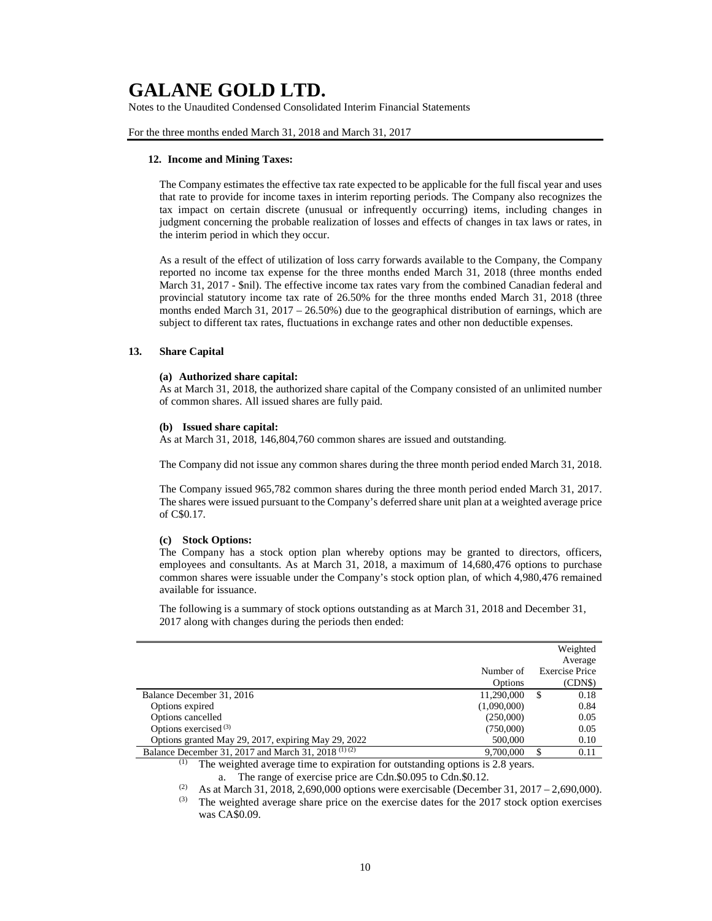Notes to the Unaudited Condensed Consolidated Interim Financial Statements

For the three months ended March 31, 2018 and March 31, 2017

#### **12. Income and Mining Taxes:**

The Company estimates the effective tax rate expected to be applicable for the full fiscal year and uses that rate to provide for income taxes in interim reporting periods. The Company also recognizes the tax impact on certain discrete (unusual or infrequently occurring) items, including changes in judgment concerning the probable realization of losses and effects of changes in tax laws or rates, in the interim period in which they occur.

As a result of the effect of utilization of loss carry forwards available to the Company, the Company reported no income tax expense for the three months ended March 31, 2018 (three months ended March 31, 2017 - \$nil). The effective income tax rates vary from the combined Canadian federal and provincial statutory income tax rate of 26.50% for the three months ended March 31, 2018 (three months ended March 31, 2017 – 26.50%) due to the geographical distribution of earnings, which are subject to different tax rates, fluctuations in exchange rates and other non deductible expenses.

### **13. Share Capital**

### **(a) Authorized share capital:**

As at March 31, 2018, the authorized share capital of the Company consisted of an unlimited number of common shares. All issued shares are fully paid.

#### **(b) Issued share capital:**

As at March 31, 2018, 146,804,760 common shares are issued and outstanding.

The Company did not issue any common shares during the three month period ended March 31, 2018.

The Company issued 965,782 common shares during the three month period ended March 31, 2017. The shares were issued pursuant to the Company's deferred share unit plan at a weighted average price of C\$0.17.

#### **(c) Stock Options:**

The Company has a stock option plan whereby options may be granted to directors, officers, employees and consultants. As at March 31, 2018, a maximum of 14,680,476 options to purchase common shares were issuable under the Company's stock option plan, of which 4,980,476 remained available for issuance.

The following is a summary of stock options outstanding as at March 31, 2018 and December 31, 2017 along with changes during the periods then ended:

|                                                                |             |    | Weighted              |
|----------------------------------------------------------------|-------------|----|-----------------------|
|                                                                |             |    | Average               |
|                                                                | Number of   |    | <b>Exercise Price</b> |
|                                                                | Options     |    | (CDN\$)               |
| Balance December 31, 2016                                      | 11,290,000  | S  | 0.18                  |
| Options expired                                                | (1,090,000) |    | 0.84                  |
| Options cancelled                                              | (250,000)   |    | 0.05                  |
| Options exercised $(3)$                                        | (750,000)   |    | 0.05                  |
| Options granted May 29, 2017, expiring May 29, 2022            | 500,000     |    | 0.10                  |
| Balance December 31, 2017 and March 31, 2018 <sup>(1)(2)</sup> | 9,700,000   | \$ | 0.11                  |
|                                                                |             |    |                       |

 $(1)$  The weighted average time to expiration for outstanding options is 2.8 years. a. The range of exercise price are Cdn.\$0.095 to Cdn.\$0.12.

(2) As at March 31, 2018, 2,690,000 options were exercisable (December 31, 2017 – 2,690,000).<br>
(3) The weighted average share price on the exercise dates for the 2017 steek entire exercises

The weighted average share price on the exercise dates for the 2017 stock option exercises was CA\$0.09.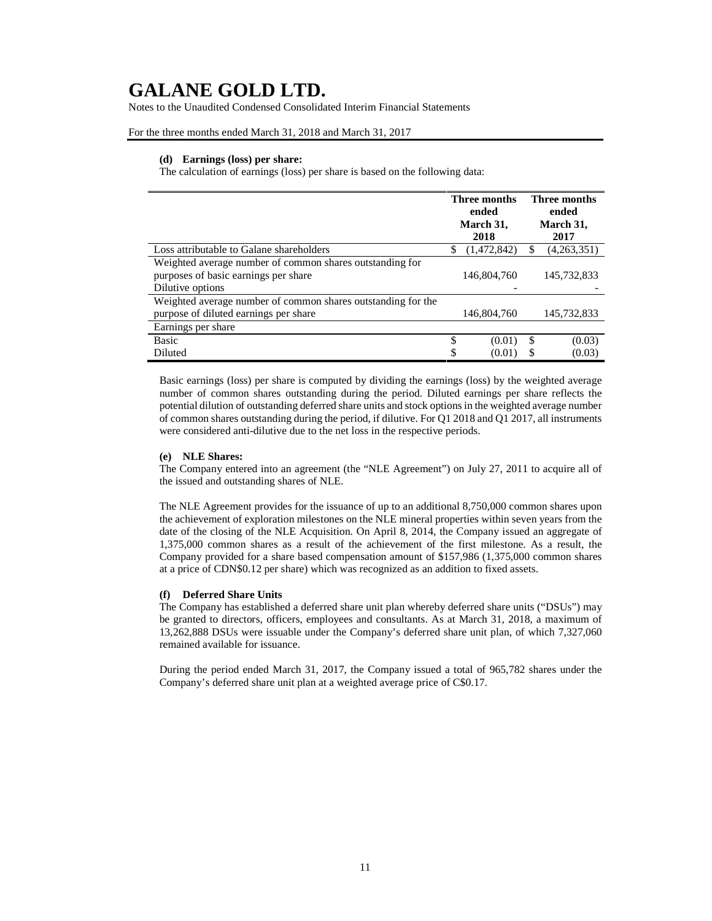Notes to the Unaudited Condensed Consolidated Interim Financial Statements

For the three months ended March 31, 2018 and March 31, 2017

### **(d) Earnings (loss) per share:**

The calculation of earnings (loss) per share is based on the following data:

|                                                                                                                      | Three months<br>ended<br>March 31,<br>2018 |             |    | <b>Three months</b><br>ended<br>March 31,<br>2017 |  |  |
|----------------------------------------------------------------------------------------------------------------------|--------------------------------------------|-------------|----|---------------------------------------------------|--|--|
| Loss attributable to Galane shareholders                                                                             | S                                          | (1,472,842) |    | (4,263,351)                                       |  |  |
| Weighted average number of common shares outstanding for<br>purposes of basic earnings per share<br>Dilutive options |                                            | 146,804,760 |    | 145,732,833                                       |  |  |
| Weighted average number of common shares outstanding for the                                                         |                                            |             |    |                                                   |  |  |
| purpose of diluted earnings per share                                                                                |                                            | 146,804,760 |    | 145,732,833                                       |  |  |
| Earnings per share                                                                                                   |                                            |             |    |                                                   |  |  |
| <b>Basic</b>                                                                                                         | \$                                         | (0.01)      | \$ | (0.03)                                            |  |  |
| Diluted                                                                                                              | \$                                         | (0.01)      | S  | (0.03)                                            |  |  |

Basic earnings (loss) per share is computed by dividing the earnings (loss) by the weighted average number of common shares outstanding during the period. Diluted earnings per share reflects the potential dilution of outstanding deferred share units and stock options in the weighted average number of common shares outstanding during the period, if dilutive. For Q1 2018 and Q1 2017, all instruments were considered anti-dilutive due to the net loss in the respective periods.

### **(e) NLE Shares:**

The Company entered into an agreement (the "NLE Agreement") on July 27, 2011 to acquire all of the issued and outstanding shares of NLE.

The NLE Agreement provides for the issuance of up to an additional 8,750,000 common shares upon the achievement of exploration milestones on the NLE mineral properties within seven years from the date of the closing of the NLE Acquisition. On April 8, 2014, the Company issued an aggregate of 1,375,000 common shares as a result of the achievement of the first milestone. As a result, the Company provided for a share based compensation amount of \$157,986 (1,375,000 common shares at a price of CDN\$0.12 per share) which was recognized as an addition to fixed assets.

### **(f) Deferred Share Units**

The Company has established a deferred share unit plan whereby deferred share units ("DSUs") may be granted to directors, officers, employees and consultants. As at March 31, 2018, a maximum of 13,262,888 DSUs were issuable under the Company's deferred share unit plan, of which 7,327,060 remained available for issuance.

During the period ended March 31, 2017, the Company issued a total of 965,782 shares under the Company's deferred share unit plan at a weighted average price of C\$0.17.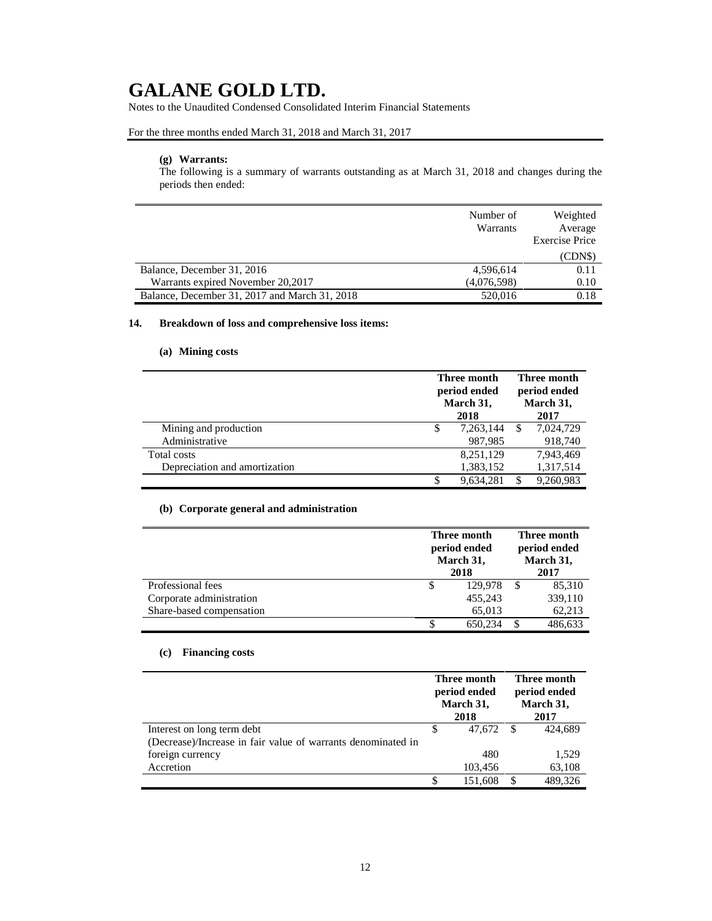Notes to the Unaudited Condensed Consolidated Interim Financial Statements

# For the three months ended March 31, 2018 and March 31, 2017

# **(g) Warrants:**

The following is a summary of warrants outstanding as at March 31, 2018 and changes during the periods then ended:

|                                               | Number of<br>Warrants | Weighted<br>Average   |
|-----------------------------------------------|-----------------------|-----------------------|
|                                               |                       | <b>Exercise Price</b> |
|                                               |                       | (CDN\$)               |
| Balance, December 31, 2016                    | 4,596,614             | 0.11                  |
| Warrants expired November 20,2017             | (4,076,598)           | 0.10                  |
| Balance, December 31, 2017 and March 31, 2018 | 520,016               | 0.18                  |

# **14. Breakdown of loss and comprehensive loss items:**

# **(a) Mining costs**

|                               |   | Three month<br>period ended<br>March 31,<br>2018 |  |           |
|-------------------------------|---|--------------------------------------------------|--|-----------|
| Mining and production         | S | 7,263,144                                        |  | 7,024,729 |
| Administrative                |   | 987,985                                          |  | 918,740   |
| Total costs                   |   | 8,251,129                                        |  | 7,943,469 |
| Depreciation and amortization |   | 1,383,152                                        |  | 1,317,514 |
|                               | S | 9.634.281                                        |  | 9,260,983 |

# **(b) Corporate general and administration**

|                          | Three month<br>period ended<br>March 31,<br>2018 |  |         |
|--------------------------|--------------------------------------------------|--|---------|
| Professional fees        | \$<br>129,978                                    |  | 85,310  |
| Corporate administration | 455,243                                          |  | 339,110 |
| Share-based compensation | 65,013                                           |  | 62,213  |
|                          | \$<br>650.234                                    |  | 486,633 |

# **(c) Financing costs**

|                                                              | Three month<br>period ended<br>March 31, |           | Three month<br>period ended<br>March 31, |         |
|--------------------------------------------------------------|------------------------------------------|-----------|------------------------------------------|---------|
|                                                              |                                          | 2018      |                                          | 2017    |
| Interest on long term debt                                   | S                                        | 47.672 \$ |                                          | 424.689 |
| (Decrease)/Increase in fair value of warrants denominated in |                                          |           |                                          |         |
| foreign currency                                             |                                          | 480       |                                          | 1,529   |
| Accretion                                                    |                                          | 103,456   |                                          | 63,108  |
|                                                              | S                                        | 151.608   |                                          | 489.326 |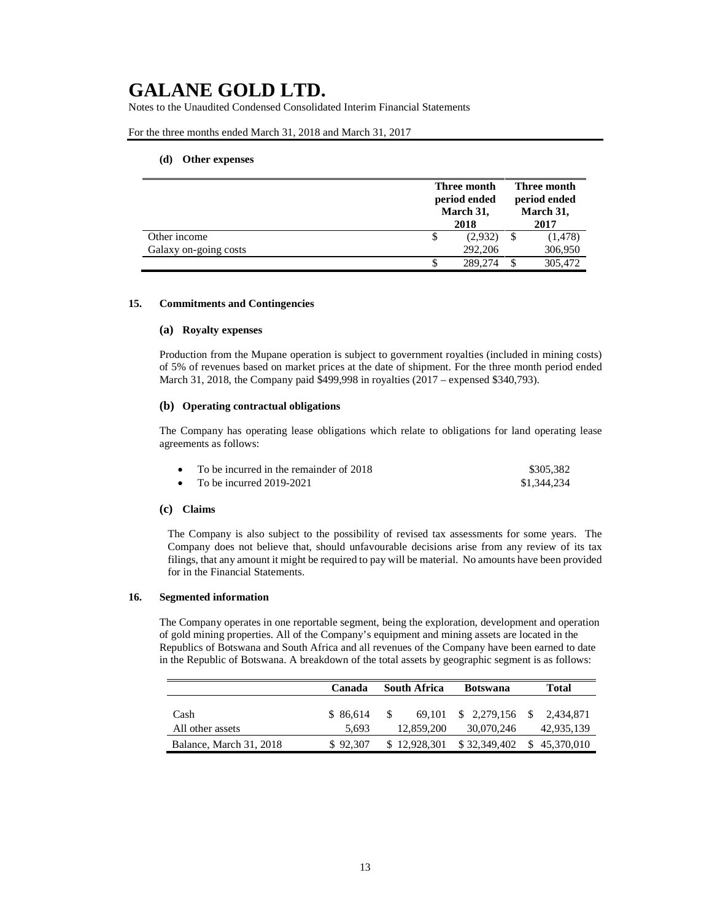Notes to the Unaudited Condensed Consolidated Interim Financial Statements

For the three months ended March 31, 2018 and March 31, 2017

### **(d) Other expenses**

|                       |   | Three month<br>period ended<br>March 31,<br>2018 |  | Three month<br>period ended<br>March 31,<br>2017 |  |
|-----------------------|---|--------------------------------------------------|--|--------------------------------------------------|--|
| Other income          | S | (2,932)                                          |  | (1, 478)                                         |  |
| Galaxy on-going costs |   | 292,206                                          |  | 306,950                                          |  |
|                       |   | 289.274                                          |  | 305,472                                          |  |

#### **15. Commitments and Contingencies**

### **(a) Royalty expenses**

Production from the Mupane operation is subject to government royalties (included in mining costs) of 5% of revenues based on market prices at the date of shipment. For the three month period ended March 31, 2018, the Company paid \$499,998 in royalties (2017 – expensed \$340,793).

### **(b) Operating contractual obligations**

The Company has operating lease obligations which relate to obligations for land operating lease agreements as follows:

| To be incurred in the remainder of 2018 | \$305.382   |
|-----------------------------------------|-------------|
| To be incurred $2019-2021$              | \$1,344,234 |

### **(c) Claims**

The Company is also subject to the possibility of revised tax assessments for some years. The Company does not believe that, should unfavourable decisions arise from any review of its tax filings, that any amount it might be required to pay will be material. No amounts have been provided for in the Financial Statements.

#### **16. Segmented information**

The Company operates in one reportable segment, being the exploration, development and operation of gold mining properties. All of the Company's equipment and mining assets are located in the Republics of Botswana and South Africa and all revenues of the Company have been earned to date in the Republic of Botswana. A breakdown of the total assets by geographic segment is as follows:

|                          | Canada             | South Africa<br><b>Botswana</b> |                                         | Total        |
|--------------------------|--------------------|---------------------------------|-----------------------------------------|--------------|
| Cash<br>All other assets | \$ 86.614<br>5.693 | 69.101<br>12,859,200            | $$2,279,156$ $$2,434,871$<br>30.070.246 | 42,935,139   |
| Balance, March 31, 2018  | \$92,307           | \$12,928,301                    | \$32,349,402                            | \$45,370,010 |